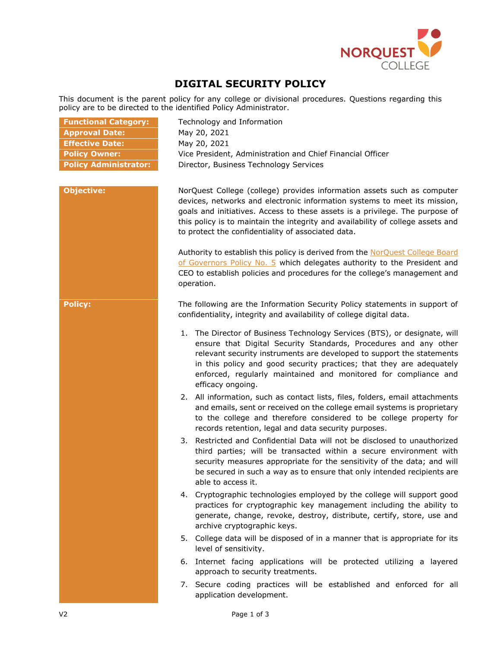

# **DIGITAL SECURITY POLICY**

This document is the parent policy for any college or divisional procedures. Questions regarding this policy are to be directed to the identified Policy Administrator.

| <b>Functional Category:</b>  | Technology and Information                                                                                                                                                                                                                                                                                                                                                             |
|------------------------------|----------------------------------------------------------------------------------------------------------------------------------------------------------------------------------------------------------------------------------------------------------------------------------------------------------------------------------------------------------------------------------------|
| <b>Approval Date:</b>        | May 20, 2021                                                                                                                                                                                                                                                                                                                                                                           |
| <b>Effective Date:</b>       | May 20, 2021                                                                                                                                                                                                                                                                                                                                                                           |
| <b>Policy Owner:</b>         | Vice President, Administration and Chief Financial Officer                                                                                                                                                                                                                                                                                                                             |
| <b>Policy Administrator:</b> | Director, Business Technology Services                                                                                                                                                                                                                                                                                                                                                 |
|                              |                                                                                                                                                                                                                                                                                                                                                                                        |
| <b>Objective:</b>            | NorQuest College (college) provides information assets such as computer<br>devices, networks and electronic information systems to meet its mission,<br>goals and initiatives. Access to these assets is a privilege. The purpose of<br>this policy is to maintain the integrity and availability of college assets and<br>to protect the confidentiality of associated data.          |
|                              | Authority to establish this policy is derived from the NorQuest College Board<br>of Governors Policy No. 5 which delegates authority to the President and<br>CEO to establish policies and procedures for the college's management and<br>operation.                                                                                                                                   |
| <b>Policy:</b>               | The following are the Information Security Policy statements in support of<br>confidentiality, integrity and availability of college digital data.                                                                                                                                                                                                                                     |
|                              | 1. The Director of Business Technology Services (BTS), or designate, will<br>ensure that Digital Security Standards, Procedures and any other<br>relevant security instruments are developed to support the statements<br>in this policy and good security practices; that they are adequately<br>enforced, regularly maintained and monitored for compliance and<br>efficacy ongoing. |
|                              | 2. All information, such as contact lists, files, folders, email attachments<br>and emails, sent or received on the college email systems is proprietary<br>to the college and therefore considered to be college property for<br>records retention, legal and data security purposes.                                                                                                 |
|                              | 3. Restricted and Confidential Data will not be disclosed to unauthorized<br>third parties; will be transacted within a secure environment with<br>security measures appropriate for the sensitivity of the data; and will<br>be secured in such a way as to ensure that only intended recipients are<br>able to access it.                                                            |
|                              | 4. Cryptographic technologies employed by the college will support good<br>practices for cryptographic key management including the ability to<br>generate, change, revoke, destroy, distribute, certify, store, use and<br>archive cryptographic keys.                                                                                                                                |
|                              | 5. College data will be disposed of in a manner that is appropriate for its<br>level of sensitivity.                                                                                                                                                                                                                                                                                   |
|                              | 6. Internet facing applications will be protected utilizing a layered<br>approach to security treatments.                                                                                                                                                                                                                                                                              |
|                              | 7. Secure coding practices will be established and enforced for all<br>application development.                                                                                                                                                                                                                                                                                        |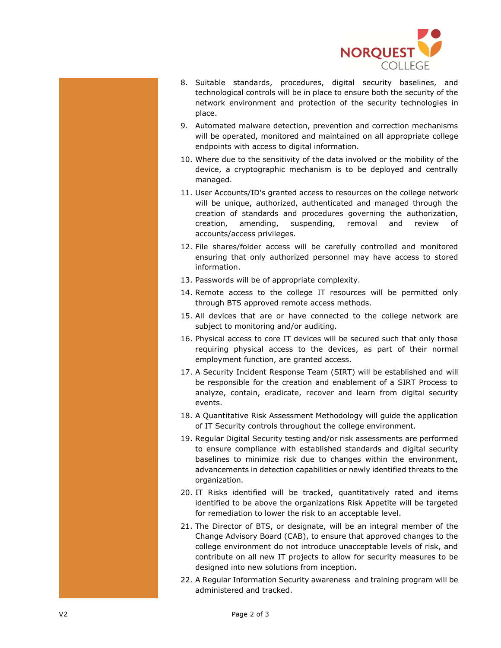

- 8. Suitable standards, procedures, digital security baselines, and technological controls will be in place to ensure both the security of the network environment and protection of the security technologies in place.
- 9. Automated malware detection, prevention and correction mechanisms will be operated, monitored and maintained on all appropriate college endpoints with access to digital information.
- 10. Where due to the sensitivity of the data involved or the mobility of the device, a cryptographic mechanism is to be deployed and centrally managed.
- 11. User Accounts/ID's granted access to resources on the college network will be unique, authorized, authenticated and managed through the creation of standards and procedures governing the authorization, creation, amending, suspending, removal and review of accounts/access privileges.
- 12. File shares/folder access will be carefully controlled and monitored ensuring that only authorized personnel may have access to stored information.
- 13. Passwords will be of appropriate complexity.
- 14. Remote access to the college IT resources will be permitted only through BTS approved remote access methods.
- 15. All devices that are or have connected to the college network are subject to monitoring and/or auditing.
- 16. Physical access to core IT devices will be secured such that only those requiring physical access to the devices, as part of their normal employment function, are granted access.
- 17. A Security Incident Response Team (SIRT) will be established and will be responsible for the creation and enablement of a SIRT Process to analyze, contain, eradicate, recover and learn from digital security events.
- 18. A Quantitative Risk Assessment Methodology will guide the application of IT Security controls throughout the college environment.
- 19. Regular Digital Security testing and/or risk assessments are performed to ensure compliance with established standards and digital security baselines to minimize risk due to changes within the environment, advancements in detection capabilities or newly identified threats to the organization.
- 20. IT Risks identified will be tracked, quantitatively rated and items identified to be above the organizations Risk Appetite will be targeted for remediation to lower the risk to an acceptable level.
- 21. The Director of BTS, or designate, will be an integral member of the Change Advisory Board (CAB), to ensure that approved changes to the college environment do not introduce unacceptable levels of risk, and contribute on all new IT projects to allow for security measures to be designed into new solutions from inception.
- 22. A Regular Information Security awareness and training program will be administered and tracked.